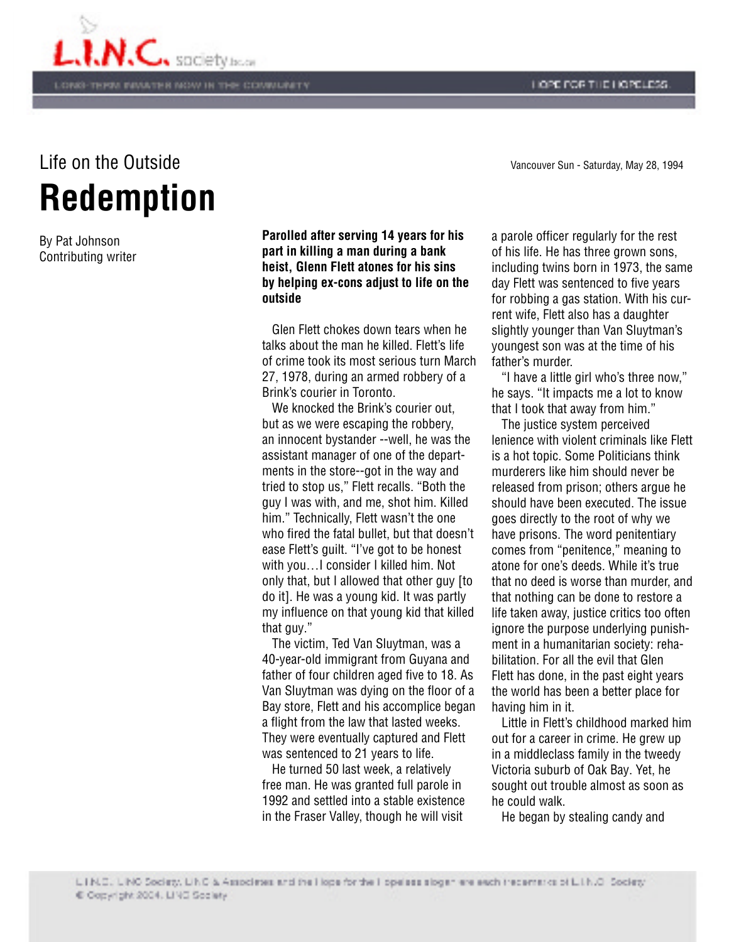



## **Redemption** Life on the Outside Vancouver Sun - Saturday, May 28, 1994

By Pat Johnson Contributing writer **Parolled after serving 14 years for his part in killing a man during a bank heist, Glenn Flett atones for his sins by helping ex-cons adjust to life on the outside**

 Glen Flett chokes down tears when he talks about the man he killed. Flett's life of crime took its most serious turn March 27, 1978, during an armed robbery of a Brink's courier in Toronto.

We knocked the Brink's courier out. but as we were escaping the robbery, an innocent bystander --well, he was the assistant manager of one of the departments in the store--got in the way and tried to stop us," Flett recalls. "Both the guy I was with, and me, shot him. Killed him." Technically, Flett wasn't the one who fired the fatal bullet, but that doesn't ease Flett's guilt. "I've got to be honest with you…I consider I killed him. Not only that, but I allowed that other guy [to do it]. He was a young kid. It was partly my influence on that young kid that killed that guy."

 The victim, Ted Van Sluytman, was a 40-year-old immigrant from Guyana and father of four children aged five to 18. As Van Sluytman was dying on the floor of a Bay store, Flett and his accomplice began a flight from the law that lasted weeks. They were eventually captured and Flett was sentenced to 21 years to life.

 He turned 50 last week, a relatively free man. He was granted full parole in 1992 and settled into a stable existence in the Fraser Valley, though he will visit

a parole officer regularly for the rest of his life. He has three grown sons, including twins born in 1973, the same day Flett was sentenced to five years for robbing a gas station. With his current wife, Flett also has a daughter slightly younger than Van Sluytman's youngest son was at the time of his father's murder.

 "I have a little girl who's three now," he says. "It impacts me a lot to know that I took that away from him."

 The justice system perceived lenience with violent criminals like Flett is a hot topic. Some Politicians think murderers like him should never be released from prison; others argue he should have been executed. The issue goes directly to the root of why we have prisons. The word penitentiary comes from "penitence," meaning to atone for one's deeds. While it's true that no deed is worse than murder, and that nothing can be done to restore a life taken away, justice critics too often ignore the purpose underlying punishment in a humanitarian society: rehabilitation. For all the evil that Glen Flett has done, in the past eight years the world has been a better place for having him in it.

 Little in Flett's childhood marked him out for a career in crime. He grew up in a middleclass family in the tweedy Victoria suburb of Oak Bay. Yet, he sought out trouble almost as soon as he could walk.

He began by stealing candy and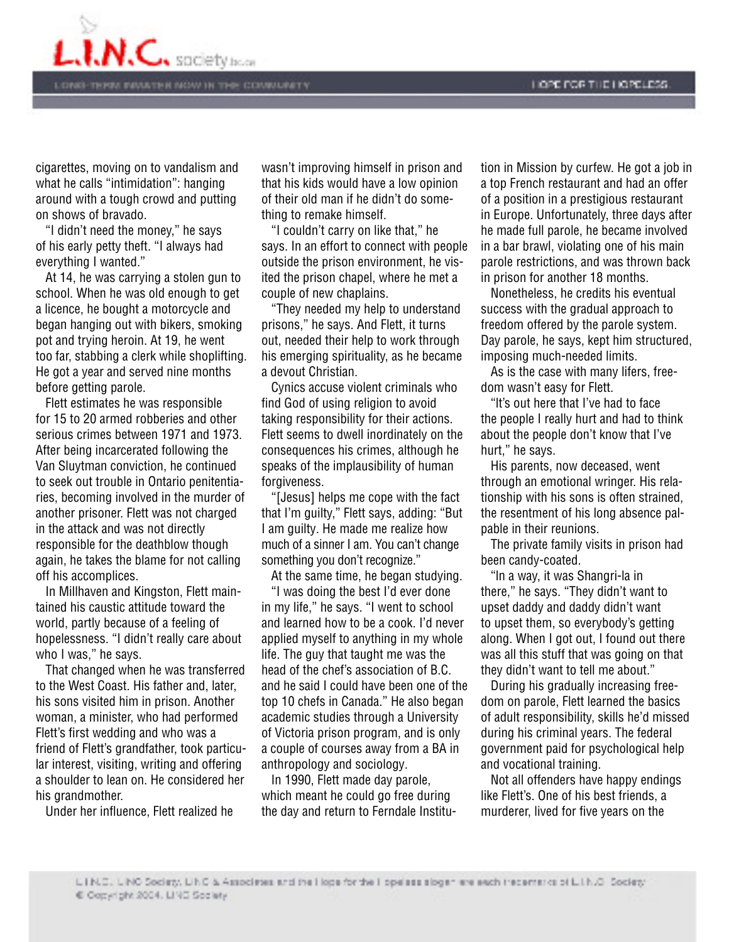

cigarettes, moving on to vandalism and what he calls "intimidation": hanging around with a tough crowd and putting on shows of bravado.

 "I didn't need the money," he says of his early petty theft. "I always had everything I wanted."

 At 14, he was carrying a stolen gun to school. When he was old enough to get a licence, he bought a motorcycle and began hanging out with bikers, smoking pot and trying heroin. At 19, he went too far, stabbing a clerk while shoplifting. He got a year and served nine months before getting parole.

 Flett estimates he was responsible for 15 to 20 armed robberies and other serious crimes between 1971 and 1973. After being incarcerated following the Van Sluytman conviction, he continued to seek out trouble in Ontario penitentiaries, becoming involved in the murder of another prisoner. Flett was not charged in the attack and was not directly responsible for the deathblow though again, he takes the blame for not calling off his accomplices.

 In Millhaven and Kingston, Flett maintained his caustic attitude toward the world, partly because of a feeling of hopelessness. "I didn't really care about who I was," he says.

 That changed when he was transferred to the West Coast. His father and, later, his sons visited him in prison. Another woman, a minister, who had performed Flett's first wedding and who was a friend of Flett's grandfather, took particular interest, visiting, writing and offering a shoulder to lean on. He considered her his grandmother.

Under her influence, Flett realized he

wasn't improving himself in prison and that his kids would have a low opinion of their old man if he didn't do something to remake himself.

 "I couldn't carry on like that," he says. In an effort to connect with people outside the prison environment, he visited the prison chapel, where he met a couple of new chaplains.

 "They needed my help to understand prisons," he says. And Flett, it turns out, needed their help to work through his emerging spirituality, as he became a devout Christian.

 Cynics accuse violent criminals who find God of using religion to avoid taking responsibility for their actions. Flett seems to dwell inordinately on the consequences his crimes, although he speaks of the implausibility of human forgiveness.

 "[Jesus] helps me cope with the fact that I'm guilty," Flett says, adding: "But I am guilty. He made me realize how much of a sinner I am. You can't change something you don't recognize."

At the same time, he began studying.

"I was doing the best I'd ever done in my life," he says. "I went to school and learned how to be a cook. I'd never applied myself to anything in my whole life. The guy that taught me was the head of the chef's association of B.C. and he said I could have been one of the top 10 chefs in Canada." He also began academic studies through a University of Victoria prison program, and is only a couple of courses away from a BA in anthropology and sociology.

 In 1990, Flett made day parole, which meant he could go free during the day and return to Ferndale Institu-

tion in Mission by curfew. He got a job in a top French restaurant and had an offer of a position in a prestigious restaurant in Europe. Unfortunately, three days after he made full parole, he became involved in a bar brawl, violating one of his main parole restrictions, and was thrown back in prison for another 18 months.

 Nonetheless, he credits his eventual success with the gradual approach to freedom offered by the parole system. Day parole, he says, kept him structured, imposing much-needed limits.

 As is the case with many lifers, freedom wasn't easy for Flett.

 "lt's out here that I've had to face the people I really hurt and had to think about the people don't know that I've hurt," he says.

 His parents, now deceased, went through an emotional wringer. His relationship with his sons is often strained, the resentment of his long absence palpable in their reunions.

 The private family visits in prison had been candy-coated.

 "ln a way, it was Shangri-la in there," he says. "They didn't want to upset daddy and daddy didn't want to upset them, so everybody's getting along. When I got out, I found out there was all this stuff that was going on that they didn't want to tell me about."

 During his gradually increasing freedom on parole, Flett learned the basics of adult responsibility, skills he'd missed during his criminal years. The federal government paid for psychological help and vocational training.

 Not all offenders have happy endings like Flett's. One of his best friends, a murderer, lived for five years on the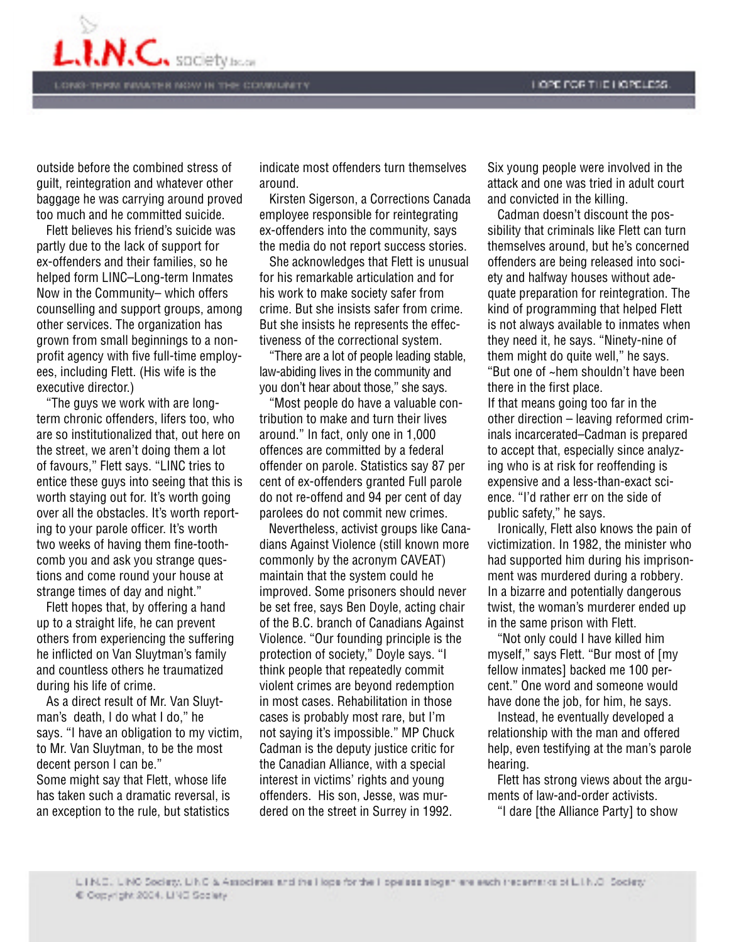

outside before the combined stress of guilt, reintegration and whatever other baggage he was carrying around proved too much and he committed suicide.

 Flett believes his friend's suicide was partly due to the Iack of support for ex-offenders and their families, so he helped form LINC–Long-term Inmates Now in the Community– which offers counselling and support groups, among other services. The organization has grown from small beginnings to a nonprofit agency with five full-time employees, including Flett. (His wife is the executive director.)

 "The guys we work with are longterm chronic offenders, lifers too, who are so institutionalized that, out here on the street, we aren't doing them a lot of favours," Flett says. "LINC tries to entice these guys into seeing that this is worth staying out for. It's worth going over all the obstacles. It's worth reporting to your parole officer. It's worth two weeks of having them fine-toothcomb you and ask you strange questions and come round your house at strange times of day and night."

 Flett hopes that, by offering a hand up to a straight life, he can prevent others from experiencing the suffering he inflicted on Van Sluytman's family and countless others he traumatized during his life of crime.

 As a direct result of Mr. Van Sluytman's death, I do what I do," he says. "I have an obligation to my victim, to Mr. Van Sluytman, to be the most decent person I can be." Some might say that Flett, whose life has taken such a dramatic reversal, is an exception to the rule, but statistics

indicate most offenders turn themselves around.

 Kirsten Sigerson, a Corrections Canada employee responsible for reintegrating ex-offenders into the community, says the media do not report success stories.

 She acknowledges that Flett is unusual for his remarkable articulation and for his work to make society safer from crime. But she insists safer from crime. But she insists he represents the effectiveness of the correctional system.

 "There are a lot of people leading stable, law-abiding lives in the community and you don't hear about those," she says.

 "Most people do have a valuable contribution to make and turn their lives around." In fact, only one in 1,000 offences are committed by a federal offender on parole. Statistics say 87 per cent of ex-offenders granted Full parole do not re-offend and 94 per cent of day parolees do not commit new crimes.

 Nevertheless, activist groups like Canadians Against Violence (still known more commonly by the acronym CAVEAT) maintain that the system could he improved. Some prisoners should never be set free, says Ben Doyle, acting chair of the B.C. branch of Canadians Against Violence. "Our founding principle is the protection of society," Doyle says. "I think people that repeatedly commit violent crimes are beyond redemption in most cases. Rehabilitation in those cases is probably most rare, but I'm not saying it's impossible." MP Chuck Cadman is the deputy justice critic for the Canadian Alliance, with a special interest in victims' rights and young offenders. His son, Jesse, was murdered on the street in Surrey in 1992.

Six young people were involved in the attack and one was tried in adult court and convicted in the killing.

 Cadman doesn't discount the possibility that criminals like Flett can turn themselves around, but he's concerned offenders are being released into society and halfway houses without adequate preparation for reintegration. The kind of programming that helped Flett is not always available to inmates when they need it, he says. "Ninety-nine of them might do quite well," he says. "But one of ~hem shouldn't have been there in the first place. If that means going too far in the other direction – leaving reformed criminals incarcerated–Cadman is prepared

to accept that, especially since analyzing who is at risk for reoffending is expensive and a less-than-exact science. "I'd rather err on the side of public safety," he says.

 Ironically, Flett also knows the pain of victimization. In 1982, the minister who had supported him during his imprisonment was murdered during a robbery. In a bizarre and potentially dangerous twist, the woman's murderer ended up in the same prison with Flett.

 "Not only could I have killed him myself," says Flett. "Bur most of [my fellow inmates] backed me 100 percent." One word and someone would have done the job, for him, he says.

 Instead, he eventually developed a relationship with the man and offered help, even testifying at the man's parole hearing.

 Flett has strong views about the arguments of law-and-order activists.

"I dare [the Alliance Party] to show